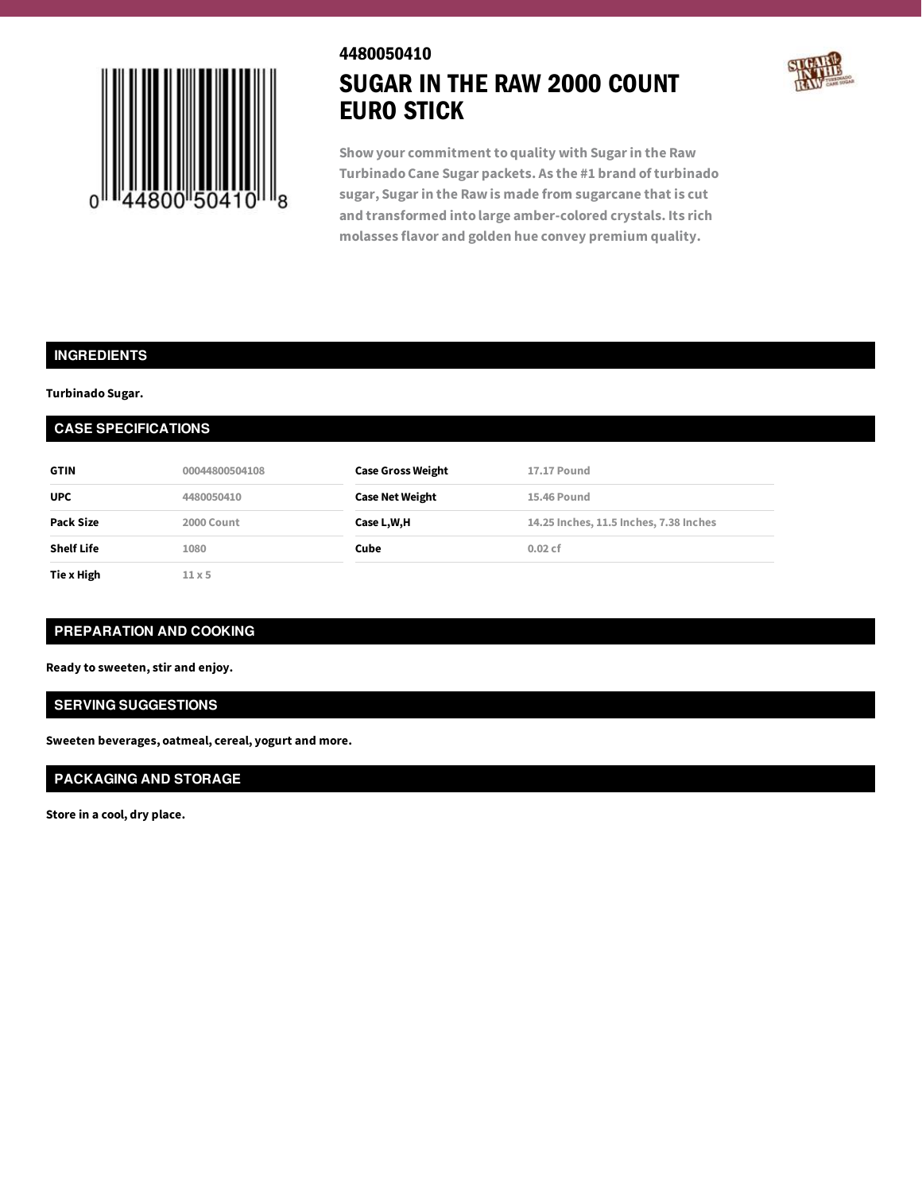

# 4480050410 SUGAR IN THE RAW 2000 COUNT EURO STICK



**Show your commitment to quality with Sugarin the Raw Turbinado Cane Sugar packets. As the #1 brand of turbinado sugar, Sugarin the Raw is made from sugarcane that is cut and transformed into large amber-colored crystals. Its rich molasses flavor and golden hue convey premium quality.**

## **INGREDIENTS**

**Turbinado Sugar.**

## **CASE SPECIFICATIONS**

| <b>GTIN</b>       | 00044800504108 | <b>Case Gross Weight</b> | <b>17.17 Pound</b>                     |
|-------------------|----------------|--------------------------|----------------------------------------|
| <b>UPC</b>        | 4480050410     | <b>Case Net Weight</b>   | 15.46 Pound                            |
| Pack Size         | 2000 Count     | Case L,W,H               | 14.25 Inches, 11.5 Inches, 7.38 Inches |
| <b>Shelf Life</b> | 1080           | Cube                     | 0.02cf                                 |
| Tie x High        | $11\times 5$   |                          |                                        |

### **PREPARATION AND COOKING**

**Ready to sweeten, stir and enjoy.**

#### **SERVING SUGGESTIONS**

**Sweeten beverages, oatmeal, cereal, yogurt and more.**

## **PACKAGING AND STORAGE**

**Store in a cool, dry place.**